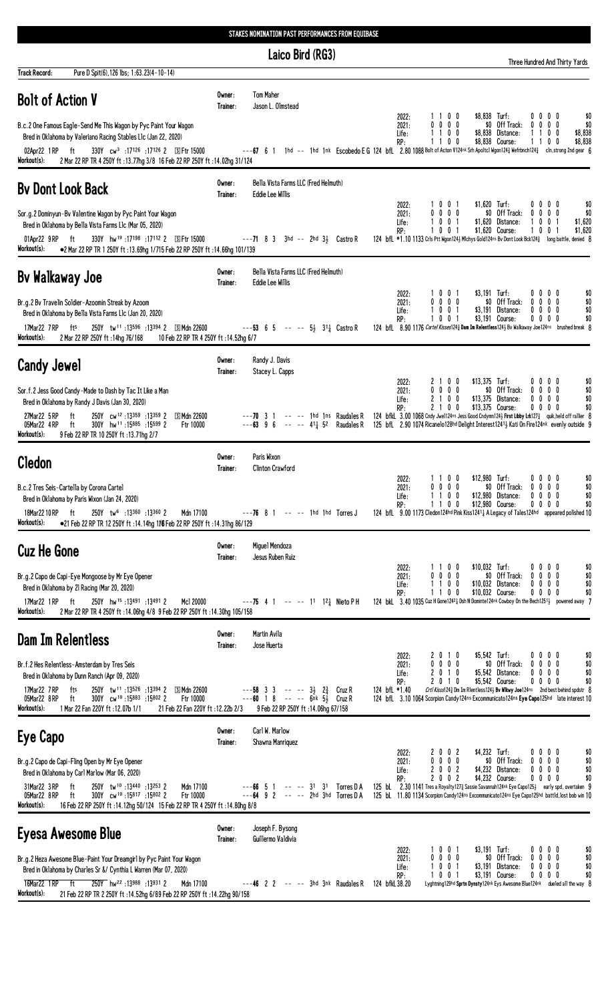## STAKES NOMINATION PAST PERFORMANCES FROM EQUIBASE

Laico Bird (RG3)

|                                                                                                                                                                                                                                                  |                    | Laico Diru (Kub)                                                                                  |                                                                                                                                                                                                                           | Three Hundred And Thirty Yards                                                                                                                              |
|--------------------------------------------------------------------------------------------------------------------------------------------------------------------------------------------------------------------------------------------------|--------------------|---------------------------------------------------------------------------------------------------|---------------------------------------------------------------------------------------------------------------------------------------------------------------------------------------------------------------------------|-------------------------------------------------------------------------------------------------------------------------------------------------------------|
| Track Record:<br>Pure D Spit(6), 126 lbs; 1:63.23(4-10-14)                                                                                                                                                                                       |                    |                                                                                                   |                                                                                                                                                                                                                           |                                                                                                                                                             |
| <b>Bolt of Action V</b>                                                                                                                                                                                                                          | Owner:<br>Trainer: | <b>Tom Maher</b><br>Jason L. Olmstead                                                             |                                                                                                                                                                                                                           |                                                                                                                                                             |
| B.c.2 One Famous Eagle-Send Me This Wagon by Pyc Paint Your Wagon<br>Bred in Oklahoma by Valeriano Racing Stables Llc (Jan 22, 2020)                                                                                                             |                    |                                                                                                   | \$8,838 Turf:<br>1100<br>2022:<br>0000<br>2021:<br>1 1 0 0<br>Life:<br>0 <sub>0</sub><br>RP:<br>11                                                                                                                        | $0\,0\,0\,0$<br>\$0<br>\$0 Off Track:<br>$0\ 0\ 0$<br>0<br>\$0<br>\$8,838 Distance:<br>$0\quad 0$<br>\$8,838<br>11<br>\$8,838 Course:<br>\$8,838<br>0<br>0  |
| 330Y cw <sup>3</sup> :17126:17126 2 SFtr 15000<br>02Apr22 1RP ft<br>Workout(s):<br>2 Mar 22 RP TR 4 250Y ft : 13.77hg 3/8 16 Feb 22 RP 250Y ft : 14.02hg 31/124                                                                                  |                    |                                                                                                   | ---67 6 1 1hd -- 1hd 1nk Escobedo E G 124 bfl 2.80 1088 Bolt of Acton V124nk Srh Apoltcl Wgon124} Wefrbnch124} cln, strong 2nd gear 6                                                                                     |                                                                                                                                                             |
| <b>By Dont Look Back</b>                                                                                                                                                                                                                         | Owner:<br>Trainer: | Bella Vista Farms LLC (Fred Helmuth)<br><b>Eddie Lee Willis</b>                                   |                                                                                                                                                                                                                           |                                                                                                                                                             |
| Sor.g.2 Dominyun-Bv Valentine Wagon by Pyc Paint Your Wagon<br>Bred in Oklahoma by Bella Vista Farms Llc (Mar 05, 2020)                                                                                                                          |                    |                                                                                                   | \$1,620 Turf:<br>1001<br>2022:<br>$0\ 0\ 0\ 0$<br>2021:<br>1 0 0 1<br>Life:<br>1001<br>RP:                                                                                                                                | $0\,0\,0\,0$<br>\$0<br>\$0 Off Track:<br>$0\ 0\ 0$<br>$^{\circ}$<br>\$0<br>\$1,620 Distance:<br>\$1,620<br>001<br>\$1,620 Course:<br>$0 \t0 \t1$<br>\$1,620 |
| 330Y hw <sup>19</sup> :17 <sup>198</sup> :17 <sup>112</sup> 2 SFtr 15000<br>01Apr22 9RP ft<br>Workout(s):<br>●2 Mar 22 RP TR 1 250Y ft : 13.69hg 1/715 Feb 22 RP 250Y ft : 14.66hg 101/139                                                       |                    | $---71$ 8 3 3hd $---2$ hd 3 $\frac{1}{2}$ Castro R                                                | 124 bfL *1.10 1133 Crls Ptt Wgon124½ Michys Gold124ns Bv Dont Look Bck124 $\frac{3}{4}$ long battle, denied 8                                                                                                             |                                                                                                                                                             |
| By Walkaway Joe                                                                                                                                                                                                                                  | Owner:<br>Trainer: | Bella Vista Farms LLC (Fred Helmuth)<br>Eddie Lee Willis                                          |                                                                                                                                                                                                                           |                                                                                                                                                             |
| Br.g.2 By Travelin Soldier-Azoomin Streak by Azoom<br>Bred in Oklahoma by Bella Vista Farms Llc (Jan 20, 2020)                                                                                                                                   |                    |                                                                                                   | \$3,191 Turf:<br>1001<br>2022:<br>0 0 0 0<br>2021:<br>1 0 0 1<br>\$3,191<br>Life:                                                                                                                                         | $0\,0\,0\,0$<br>\$0<br>\$0 Off Track:<br>$0\ 0\ 0\ 0$<br>\$0<br>Distance:<br>0000<br>\$0                                                                    |
| 250Y tw <sup>11</sup> :13596 :13394 2 SMdn 22600<br>17Mar22 7 RP<br>fts<br>Workout(s):<br>2 Mar 22 RP 250Y ft : 14hg 76/168<br>10 Feb 22 RP TR 4 250Y ft: 14.52hg 6/7                                                                            |                    | $---53$ 6 5 -- -- 5} 31} Castro R                                                                 | 1 0 0 1<br>RP:<br>124 bfl 8.90 1176 Cartel Kisses1243 Dam Im Relentless1243 Bv Walkaway Joe124ns brushed break 8                                                                                                          | \$3,191 Course:<br>$0\quad 0\quad 0\quad 0$<br>\$0                                                                                                          |
| <b>Candy Jewel</b>                                                                                                                                                                                                                               | Owner:<br>Trainer: | Randy J. Davis<br>Stacey L. Capps                                                                 |                                                                                                                                                                                                                           |                                                                                                                                                             |
| Sor.f.2 Jess Good Candy-Made to Dash by Tac It Like a Man<br>Bred in Oklahoma by Randy J Davis (Jan 30, 2020)                                                                                                                                    |                    |                                                                                                   | 0 <sub>0</sub><br>\$13,375 Turf:<br>2022:<br>21<br>0 0 0 0<br>2021:<br>2100<br>Life:                                                                                                                                      | $0\ 0\ 0\ 0$<br>\$0<br>\$0 Off Track:<br>$0\,$ 0 $\,$ 0 $\,$<br>0<br>\$0<br>\$13,375 Distance:<br>0<br>$0\,0\,0$<br>\$0                                     |
| 250Y cw <sup>12</sup> :13359 :13359 2<br>27Mar22 5RP<br>ft<br>S Mdn 22600<br>300Y hw <sup>11</sup> :15885 :15599 2<br>05Mar22 4RP<br>Ftr 10000<br>ft<br>Workout(s):<br>9 Feb 22 RP TR 10 250Y ft :13.71hg 2/7                                    |                    | $---70$ 3 1 $---$ 1hd 1ns Raudales R<br>$---63$ 9 6 -- -- 411 52                                  | 2100<br>RP:<br>124 bfkl 3.00 1068 Cndy Jwel124ns Jess Good Cndymn124} First Libby Lrk1273 quik, held off rallier 8<br>Raudales R 125 bfl 2.90 1074 Ricanelo128hd Delight Interest12414 Kati On Fire124nk evenly outside 9 | \$13,375 Course:<br>$0\ 0\ 0\ 0$<br>\$0                                                                                                                     |
| <b>Cledon</b>                                                                                                                                                                                                                                    | Owner:<br>Trainer: | Paris Wixon<br><b>Clinton Crawford</b>                                                            |                                                                                                                                                                                                                           |                                                                                                                                                             |
| B.c.2 Tres Seis-Cartella by Corona Cartel<br>Bred in Oklahoma by Paris Wixon (Jan 24, 2020)                                                                                                                                                      |                    |                                                                                                   | \$12,980 Turf:<br>1100<br>2022:<br>$0\ 0\ 0\ 0$<br>2021:<br>1100<br>Life:                                                                                                                                                 | 0000<br>\$0<br>\$0 Off Track:<br>$0\ 0\ 0\ 0$<br>\$0<br>\$12,980 Distance:<br>$0\ 0\ 0\ 0$<br>\$0                                                           |
| 250Y tw <sup>6</sup> :13360 :13360 2<br>18Mar 22 10 RP<br>ft<br>Mdn 17100<br>Workout(s):<br>●21 Feb 22 RP TR 12 250Y ft : 14.14hg 176 Feb 22 RP 250Y ft : 14.31hg 86/129                                                                         |                    | $---76$ 8 1 $---$ 1hd 1hd Torres J                                                                | 1 1 0 0<br>RP:<br>124 bfl 9.00 1173 Cledon124hd Pink Kiss12411 A Legacy of Tales124hd appeared polished 10                                                                                                                | \$12,980 Course:<br>$0\ 0\ 0\ 0$<br>\$0                                                                                                                     |
| <b>Cuz He Gone</b>                                                                                                                                                                                                                               | Owner:<br>Trainer: | Miguel Mendoza<br>Jesus Ruben Ruiz                                                                |                                                                                                                                                                                                                           |                                                                                                                                                             |
| Br.g.2 Capo de Capi-Eye Mongoose by Mr Eye Opener<br>Bred in Oklahoma by 21 Racing (Mar 20, 2020)                                                                                                                                                |                    |                                                                                                   | \$10,032 Turf:<br>1 1 0 0<br>2022:<br>0000<br>2021:<br>1100<br>Life:                                                                                                                                                      | $0\,0\,0\,0$<br>\$0<br>\$0 Off Track:<br>0000<br>\$0<br>\$10,032 Distance:<br>$0\ 0\ 0\ 0$<br>\$0                                                           |
| 17Mar22 1RP ft<br>250Y hw <sup>15</sup> :13491:134912<br>Mc1 20000<br>Workout(s):<br>2 Mar 22 RP TR 4 250Y ft : 14.06hg 4/8 9 Feb 22 RP 250Y ft : 14.30hg 105/158                                                                                |                    | $---75$ 4 1 $---$ 11 $12\frac{1}{4}$ Nieto PH                                                     | 1100<br>RP:<br>124 bkl 3.40 1035 Cuz H Gone1242 bsh N Dominte124nk Cowboy On the Bech12513 powered away 7                                                                                                                 | \$10,032 Course:<br>0000<br>\$0                                                                                                                             |
| Dam Im Relentless                                                                                                                                                                                                                                | Owner:<br>Trainer: | Martin Avila<br>Jose Huerta                                                                       |                                                                                                                                                                                                                           |                                                                                                                                                             |
| Br.f.2 Hes Relentless-Amsterdam by Tres Seis<br>Bred in Oklahoma by Dunn Ranch (Apr 09, 2020)                                                                                                                                                    |                    |                                                                                                   | $$5,542$ Turf:<br>2022:<br>2010<br>2021:<br>0000<br>2 0 1 0<br>Life:                                                                                                                                                      | 0000<br>\$0<br>\$0 Off Track:<br>0<br>$0\,$ $0\,$ $0\,$<br>\$0<br>\$5,542 Distance:<br>$0\,0\,0\,0$<br>\$0                                                  |
| 250Y tw <sup>11</sup> :13526:13394 2<br>17Mar22 7RP<br>fts<br>S Mdn 22600<br>05Mar22 8RP<br>$300Y$ cw <sup>10</sup> :15883 :15802 2<br>Ftr 10000<br>ft                                                                                           |                    | ---58 3 3 -- -- $3\frac{1}{2}$ $2\frac{3}{4}$ Cruz R<br>---60 1 8 -- -- 6nk $5\frac{1}{2}$ Cruz R | 2010<br>RP:<br>124 bfL *1.40<br>124 bfl. 3.10 1064 Scorpion Candy124ns Excommunicato124ns Eye Capo125hd late interest 10                                                                                                  | \$5,542 Course:<br>$0\ 0\ 0\ 0$<br>\$0<br>Crtl Kisss124 $\frac{3}{4}$ Dm Im R1entless124 $\frac{1}{2}$ Bv Wikwy Joe124ns 2nd best behind spdstr 8           |
| Workout(s):<br>1 Mar 22 Fan 220Y ft: 12.07b 1/1<br>21 Feb 22 Fan 220Y ft: 12.22b 2/3                                                                                                                                                             | Owner:             | 9 Feb 22 RP 250Y ft: 14.06hg 67/158<br>Carl W. Marlow                                             |                                                                                                                                                                                                                           |                                                                                                                                                             |
| Eye Capo                                                                                                                                                                                                                                         | Trainer:           | Shawna Manriquez                                                                                  | \$4,232 Turf:<br>2022:<br>2002                                                                                                                                                                                            | 0000<br>\$0                                                                                                                                                 |
| Br.g.2 Capo de Capi-Fling Open by Mr Eye Opener<br>Bred in Oklahoma by Carl Marlow (Mar 06, 2020)                                                                                                                                                |                    |                                                                                                   | 0 0 0 0<br>2021:<br>2002<br>Life:<br>2002<br>RP:                                                                                                                                                                          | \$0 Off Track:<br>$0\ 0\ 0\ 0$<br>\$0<br>\$4,232 Distance:<br>$0\,0\,0\,0$<br>\$0<br>\$4,232 Course:<br>$0\ 0\ 0\ 0$<br>\$0                                 |
| 250Y tw <sup>10</sup> :13440:132532<br>31Mar22 3RP<br>ft<br>Mdn 17100<br>05Mar22 8 RP<br>$300Y$ cw <sup>10</sup> :15817:15802 2<br>Ftr 10000<br>ft<br>Workout(s):<br>16 Feb 22 RP 250Y ft: 14.12hg 50/124 15 Feb 22 RP TR 4 250Y ft: 14.80hg 8/8 |                    | $---66$ 5 1 $---$ 31 31 Torres DA<br>$---64$ 9 2 $---$ 2hd 3hd Torres DA                          | 125 bl. 2.30 1141 Tres a Royalty127 $\frac{3}{4}$ Sassie Savannah124nk Eye Capo125 $\frac{1}{2}$ early spd, overtaken 9<br>125 bl 11.80 1134 Scorpion Candy124ns Excommunicato124ns Eye Capo125hd battld, lost bob win 10 |                                                                                                                                                             |
| Eyesa Awesome Blue                                                                                                                                                                                                                               | Owner:<br>Trainer: | Joseph F. Bysong<br>Guillermo Valdivia                                                            |                                                                                                                                                                                                                           |                                                                                                                                                             |
| Br.g.2 Heza Awesome Blue-Paint Your Dreamgirl by Pyc Paint Your Wagon<br>Bred in Oklahoma by Charles Sr &/ Cynthia L Warren (Mar 07, 2020)                                                                                                       |                    |                                                                                                   | \$3,191 Turf:<br>1001<br>2022:<br>2021:<br>0000<br>1 0 0 1<br>Life:                                                                                                                                                       | $0\,0\,0\,0$<br>\$0<br>\$0 Off Track:<br>$0\ 0\ 0$<br>0<br>\$0<br>\$3,191 Distance:<br>0<br>$0\,0\,0$<br>\$0                                                |
| 250Y hw <sup>22</sup> :13988:139312<br>Mdn 17100<br>16Mar22 1 RP ft<br>Workout(s):<br>21 Feb 22 RP TR 2 250Y ft : 14.52hg 6/89 Feb 22 RP 250Y ft : 14.22hg 90/158                                                                                |                    | $---46$ 2 2 $---3$ hd 3nk Raudales R                                                              | 1 0 0 1<br>RP:<br>124 bfkL 38.20                                                                                                                                                                                          | \$3,191 Course:<br>$0\ 0\ 0\ 0$<br>\$0<br>Lyghtning129hd Sprtn Dynsty124nk Eys Awesome Blue124nk dueled all the way 8                                       |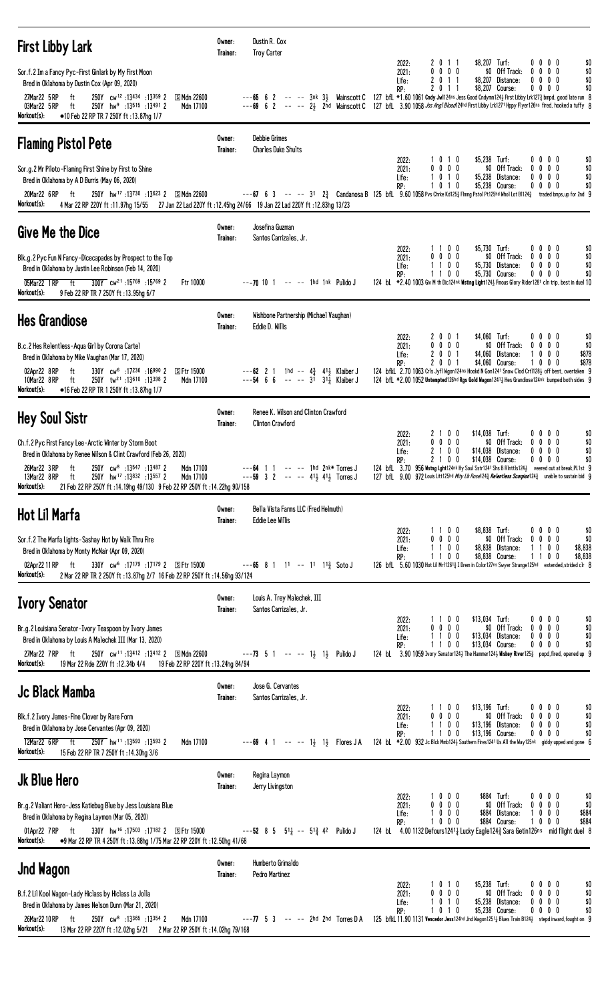| <b>First Libby Lark</b>                                                                                                                                                                                                                                                                                                                                               | Owner:<br>Trainer: | Dustin R. Cox<br><b>Troy Carter</b>                                                                                                                                                                                                                                                      |                                |                                                                                                                                                                                                                                                              |                |                                                                           |            |                                                                    |                                  |
|-----------------------------------------------------------------------------------------------------------------------------------------------------------------------------------------------------------------------------------------------------------------------------------------------------------------------------------------------------------------------|--------------------|------------------------------------------------------------------------------------------------------------------------------------------------------------------------------------------------------------------------------------------------------------------------------------------|--------------------------------|--------------------------------------------------------------------------------------------------------------------------------------------------------------------------------------------------------------------------------------------------------------|----------------|---------------------------------------------------------------------------|------------|--------------------------------------------------------------------|----------------------------------|
| Sor.f.2 Im a Fancy Pyc-First Ginlark by My First Moon<br>Bred in Oklahoma by Dustin Cox (Apr 09, 2020)<br>250Y cw <sup>12</sup> :13434:13359 2<br>27Mar22 5 RP<br>ft<br>S Mdn 22600<br>250Y hw <sup>9</sup> :13515 :13491 2<br>03Mar22 5 RP<br>ft<br>Mdn 17100<br>Workout(s):<br>•10 Feb 22 RP TR 7 250Y ft :13.87hg 1/7                                              |                    | ---65 6 2 -- -- 3nk 3} Wainscott C 127 bfL *1.60 1061 Cndy Jw1124ns Jess Good Cndymn124} First Libby Lrk127 $\frac{3}{4}$ bmpd, good late run 8<br>---69 6 2 -- -- 23 2hd Wainscott C 127 bfl. 3.90 1058 Jss Angl Blood124hd First Libby Lrk1271 Hppy Flyer126ns fired, hooked a tuffy 8 | 2022:<br>2021:<br>Life:<br>RP: | 2011<br>$0\ 0\ 0\ 0$<br>2011<br>2011                                                                                                                                                                                                                         |                | \$8,207 Turf:<br>\$0 Off Track:<br>\$8,207 Distance:<br>\$8,207 Course:   |            | 0000<br>$0\ 0\ 0\ 0$<br>0000<br>0000                               | \$0<br>\$0<br>\$0<br>\$0         |
| <b>Flaming Pistol Pete</b>                                                                                                                                                                                                                                                                                                                                            | Owner:<br>Trainer: | <b>Debbie Grimes</b><br><b>Charles Duke Shults</b>                                                                                                                                                                                                                                       |                                |                                                                                                                                                                                                                                                              |                |                                                                           |            |                                                                    |                                  |
| Sor.g.2 Mr Piloto-Flaming First Shine by First to Shine<br>Bred in Oklahoma by A D Burris (May 06, 2020)<br>250Y hw <sup>17</sup> :13730 :13623 2 SMdn 22600<br>20Mar22 6 RP<br>ft –<br>Workout(s):<br>4 Mar 22 RP 220Y ft: 11.97hg 15/55                                                                                                                             |                    | $-$ - - 67 6 3 - - - 31 2 $\frac{3}{2}$ Candanosa B 125 bfl. 9.60 1058 Pvs Chrke Kd125 $\frac{3}{4}$ Flmng Pstol Pt125hd Whol Lot B1124 $\frac{3}{4}$<br>27 Jan 22 Lad 220Y ft: 12.45hg 24/66 19 Jan 22 Lad 220Y ft: 12.83hg 13/23                                                       | 2022:<br>2021:<br>Life:<br>RP: | 1010<br>$0\ 0\ 0\ 0$<br>1010<br>0 1 0                                                                                                                                                                                                                        |                | \$5,238 Turf:<br>\$0 Off Track:<br>\$5,238 Distance:<br>\$5,238 Course:   | 0<br>0     | 0000<br>$0\ 0\ 0$<br>$0\,0\,0$<br>0000<br>traded bmps,up for 2nd 9 | \$0<br>\$0<br>\$0<br>\$0         |
| Give Me the Dice                                                                                                                                                                                                                                                                                                                                                      | Owner:<br>Trainer: | Josefina Guzman<br>Santos Carrizales, Jr.                                                                                                                                                                                                                                                |                                |                                                                                                                                                                                                                                                              |                |                                                                           |            |                                                                    |                                  |
| Blk.g.2 Pyc Fun N Fancy-Dicecapades by Prospect to the Top<br>Bred in Oklahoma by Justin Lee Robinson (Feb 14, 2020)<br>300Y cw <sup>21</sup> :15769 :15769 2<br>05Mar22 1 RP<br>ft<br>Ftr 10000<br>Workout(s):<br>9 Feb 22 RP TR 7 250Y ft : 13.95hg 6/7                                                                                                             |                    | $---70$ 10 1 $---$ 1hd 1nk Pulido J                                                                                                                                                                                                                                                      | 2022:<br>2021:<br>Life:<br>RP: | 1 1 0 0<br>$0\ 0\ 0\ 0$<br>1 1 0 0<br>1 1 0 0<br>124 bl *2,40 1003 Giv M th Dic124nk Wisting Light1243 Fmous Glory Rider1281 cln trip, best in duel 10                                                                                                       |                | \$5,730 Turf:<br>\$0 Off Track:<br>\$5,730 Distance:<br>\$5,730 Course:   |            | 0000<br>$0\ 0\ 0\ 0$<br>0000<br>$0\,0\,0\,0$                       | \$0<br>\$0<br>\$0<br>\$0         |
| <b>Hes Grandiose</b>                                                                                                                                                                                                                                                                                                                                                  | Owner:<br>Trainer: | Wishbone Partnership (Michael Vaughan)<br>Eddie D. Willis                                                                                                                                                                                                                                |                                |                                                                                                                                                                                                                                                              |                |                                                                           |            |                                                                    |                                  |
| B.c.2 Hes Relentless-Aqua Girl by Corona Cartel<br>Bred in Oklahoma by Mike Vaughan (Mar 17, 2020)<br>330Y cw <sup>6</sup> :17236 :16990 2<br>02Apr22 8RP<br>ft<br>⑤ Ftr 15000<br>250Y tw <sup>21</sup> :13610 :13398 2<br>10Mar22 8 RP<br>ft<br>Mdn 17100<br>Workout(s):<br>•16 Feb 22 RP TR 1 250Y ft :13.87hg 1/7                                                  |                    | $---62$ 2 1 1hd $---4\frac{3}{4}$ 41  Klaiber J<br>$---54$ 6 6 -- -- $3^{\frac{7}{1}}$ 31 $\frac{5}{4}$ Klaiber J                                                                                                                                                                        | 2022:<br>2021:<br>Life:<br>RP: | 2001<br>$0\ 0\ 0\ 0$<br>2 0 0 1<br>2001<br>124 bfkL 2.70 1063 Crls Jyfl Wgon124ns Hookd N Gon1241 Snow Clod Crt1128} off best, overtaken 9<br>124 bfL *2.00 1052 Untempted126hd Rgs Gold Wagon12411 Hes Grandiose124nk bumped both sides 9                   |                | \$4,060 Turf:<br>\$0 Off Track:<br>\$4,060 Distance:<br>\$4,060 Course:   |            | 0000<br>$0\,0\,0\,0$<br>$0\,$ $0\,$ $0\,$<br>1000                  | \$0<br>\$0<br>\$878<br>\$878     |
| <b>Hey Soul Sistr</b>                                                                                                                                                                                                                                                                                                                                                 | Owner:<br>Trainer: | Renee K. Wilson and Clinton Crawford<br><b>Clinton Crawford</b>                                                                                                                                                                                                                          |                                |                                                                                                                                                                                                                                                              |                |                                                                           |            |                                                                    |                                  |
| Ch.f.2 Pyc First Fancy Lee-Arctic Winter by Storm Boot<br>Bred in Oklahoma by Renee Wilson & Clint Crawford (Feb 26, 2020)<br>250Y cw <sup>8</sup> :13547:134872<br>26Mar22 3 RP<br>Mdn 17100<br>ft<br>13Mar22 8RP ft<br>250Y hw <sup>17</sup> :13832:13557 2<br>Mdn 17100<br>Workout(s):<br>21 Feb 22 RP 250Y ft: 14.19hg 49/130 9 Feb 22 RP 250Y ft: 14.22hg 90/158 |                    | $---64$ 1 1 $---$ 1hd 2nk* Torres J<br>$---59$ 3 2 $---$ 41 $\frac{1}{2}$ 41 $\frac{1}{2}$ Torres J                                                                                                                                                                                      | 2022:<br>2021:<br>Life:<br>RP: | 2100<br>$0\ 0\ 0\ 0$<br>2100<br>$0\quad 0$<br>21<br>124 bfl 3.70 956 Wistng Lght124nk Hy Soul Sstr1241 Shs B RInttls124} veered out at break, PL1st 9<br>127 bfl. 9.00 972 Louis Litt125hd Mity Lik Rose1243 Relentless Scorplon1243 unable to sustain bid 9 | \$14,038 Turf: | \$0 Off Track:<br>$$14,038$ Distance:<br>\$14,038 Course:                 |            | 0000<br>$0\,0\,0\,0$<br>0000<br>0000                               | \$0<br>\$0<br>\$0<br>\$0         |
| <b>Hot Lil Marfa</b>                                                                                                                                                                                                                                                                                                                                                  | Owner:<br>Trainer: | Bella Vista Farms LLC (Fred Helmuth)<br><b>Eddie Lee Willis</b>                                                                                                                                                                                                                          |                                |                                                                                                                                                                                                                                                              |                |                                                                           |            |                                                                    |                                  |
| Sor.f.2 The Marfa Lights-Sashay Hot by Walk Thru Fire<br>Bred in Oklahoma by Monty McNair (Apr 09, 2020)<br>330Y cw <sup>6</sup> :17179 :17179 2 SFtr 15000<br>02Apr22 11 RP ft<br>Workout(s):<br>2 Mar 22 RP TR 2 250Y ft : 13.87hg 2/7 16 Feb 22 RP 250Y ft : 14.56hg 93/124                                                                                        |                    | $---65$ 8 1 11 $---$ 11 11 <sup>3</sup> / <sub>4</sub> Soto J                                                                                                                                                                                                                            | 2022:<br>2021:<br>Life:<br>RP: | 1100<br>$0\ 0\ 0\ 0$<br>1 1 0 0<br>1100<br>126 bfl. 5.60 1030 Hot Lil Mrf1261 <sup>3</sup> I Drem in Color127ns Swyer Strange125hd extended, strided clr 8                                                                                                   |                | \$8,838 Turf:<br>\$0 Off Track:<br>\$8,838 Distance:<br>\$8,838 Course:   | 0          | 0000<br>$0\ 0\ 0$<br>100<br>0 <sub>0</sub>                         | \$0<br>\$0<br>\$8,838<br>\$8,838 |
| <b>Ivory Senator</b>                                                                                                                                                                                                                                                                                                                                                  | Owner:<br>Trainer: | Louis A. Trey Malechek, III<br>Santos Carrizales, Jr.                                                                                                                                                                                                                                    |                                |                                                                                                                                                                                                                                                              |                |                                                                           |            |                                                                    |                                  |
| Br.g.2 Louisiana Senator-Ivory Teaspoon by Ivory James<br>Bred in Oklahoma by Louis A Malechek III (Mar 13, 2020)<br>250Y cw <sup>11</sup> :13412:13412 2 SMdn 22600<br>27Mar22 7 RP<br>ft<br>Workout(s):<br>19 Mar 22 Rde 220Y ft : 12.34b 4/4<br>19 Feb 22 RP 220Y ft: 13.24hg 84/94                                                                                |                    | $---73$ 5 1 $---$ 1} 1} Pulido J                                                                                                                                                                                                                                                         | 2022:<br>2021:<br>Life:<br>RP: | 1100<br>$0\ 0\ 0\ 0$<br>1100<br>1100<br>124 bL 3.90 1059 Ivory Senator124} The Hammer124} Wiskey River1253 popd, fired, opened up 9                                                                                                                          | \$13,034 Turf: | \$0 Off Track:<br>\$13,034 Distance:<br>\$13,034 Course:                  | $^{\circ}$ | 0000<br>$0\ 0\ 0$<br>$0\ 0\ 0\ 0$<br>$0\,0\,0\,0$                  | \$0<br>\$0<br>\$0<br>\$0         |
| Jc Black Mamba                                                                                                                                                                                                                                                                                                                                                        | Owner:<br>Trainer: | Jose G. Cervantes<br>Santos Carrizales, Jr.                                                                                                                                                                                                                                              |                                |                                                                                                                                                                                                                                                              |                |                                                                           |            |                                                                    |                                  |
| Blk.f.2 Ivory James-Fine Clover by Rare Form<br>Bred in Oklahoma by Jose Cervantes (Apr 09, 2020)<br>250Y hw <sup>11</sup> :13593 :13593 2<br>12Mar22 6RP ft<br>Mdn 17100<br>Workout(s):<br>15 Feb 22 RP TR 7 250Y ft : 14.30hg 3/6                                                                                                                                   |                    | ---69 4 1 -- -- 13 13 Flores J A 124 bL *2.00 932 Jc Blck Mmb1243 Southern Fires1241 Us All the Way125nk giddy upped and gone 6                                                                                                                                                          | 2022:<br>2021:<br>Life:<br>RP: | 1100<br>$0\ 0\ 0\ 0$<br>1 1 0 0<br>1100                                                                                                                                                                                                                      | \$13,196 Turf: | \$0 Off Track:<br>\$13,196 Distance:<br>\$13,196 Course:                  |            | 0000<br>$0\ 0\ 0\ 0$<br>$0\ 0\ 0\ 0$<br>$0\,0\,0\,0$               | \$0<br>\$0<br>\$0<br>\$0         |
| Jk Blue Hero                                                                                                                                                                                                                                                                                                                                                          | Owner:<br>Trainer: | Regina Laymon<br>Jerry Livingston                                                                                                                                                                                                                                                        |                                |                                                                                                                                                                                                                                                              |                |                                                                           |            |                                                                    |                                  |
| Br.g.2 Valiant Hero-Jess Katiebug Blue by Jess Louisiana Blue<br>Bred in Oklahoma by Regina Laymon (Mar 05, 2020)<br>ft<br>330Y hw <sup>16</sup> :17503:17182 2 SFtr 15000<br>01Apr22 7RP<br>Workout(s):<br>●9 Mar 22 RP TR 4 250Y ft : 13.88hg 1/75 Mar 22 RP 220Y ft : 12.50hg 41/68                                                                                |                    | $---52$ 8 5 $51\frac{1}{4}$ -- $51\frac{3}{4}$ 42 Pulido J                                                                                                                                                                                                                               | 2022:<br>2021:<br>Life:<br>RP: | 1000<br>$0\ 0\ 0\ 0$<br>$0\ 0\ 0$<br>$0\,$ $0\,$ $0\,$<br>124 bl 4.00 1132 Defours12414 Lucky Eagle124 $\frac{3}{4}$ Sara Getin126ns mid flight duel 8                                                                                                       |                | \$884 Turf:<br>\$0 Off Track:<br>\$884 Distance:<br>\$884 Course:         |            | $0\,0\,0\,0$<br>$0\ 0\ 0\ 0$<br>$0\ 0\ 0$<br>1000                  | \$0<br>\$0<br>\$884<br>\$884     |
| <b>Jnd Wagon</b>                                                                                                                                                                                                                                                                                                                                                      | Owner:<br>Trainer: | Humberto Grimaldo<br>Pedro Martinez                                                                                                                                                                                                                                                      |                                |                                                                                                                                                                                                                                                              |                |                                                                           |            |                                                                    |                                  |
| B.f.2 Lil Kool Wagon-Lady Hiclass by Hiclass La Jolla<br>Bred in Oklahoma by James Nelson Dunn (Mar 21, 2020)<br>26Mar2210RP<br>250Y cw <sup>8</sup> :13365 :13354 2<br>Mdn 17100<br>ft<br>Workout(s):<br>13 Mar 22 RP 220Y ft:12.02hg 5/21 2 Mar 22 RP 250Y ft:14.02hg 79/168                                                                                        |                    | ---77 5 3 -- -- 2hd 2hd Torres D A 125 bfkL 11.90 1131 Vencedor Jess124hd Jnd Wagon1251; Blues Train B124; stepd inward, fought on 9                                                                                                                                                     | 2022:<br>2021:<br>Life:<br>RP: | 1010<br>0 0 0 0<br>0 1 0<br>1<br>1010                                                                                                                                                                                                                        |                | $$5,238$ Turf:<br>\$0 Off Track:<br>$$5,238$ Distance:<br>\$5,238 Course: |            | 0000<br>$0\ 0\ 0\ 0$<br>$0\,0\,0\,0$<br>0000                       | \$0<br>\$0<br>\$0<br>\$0         |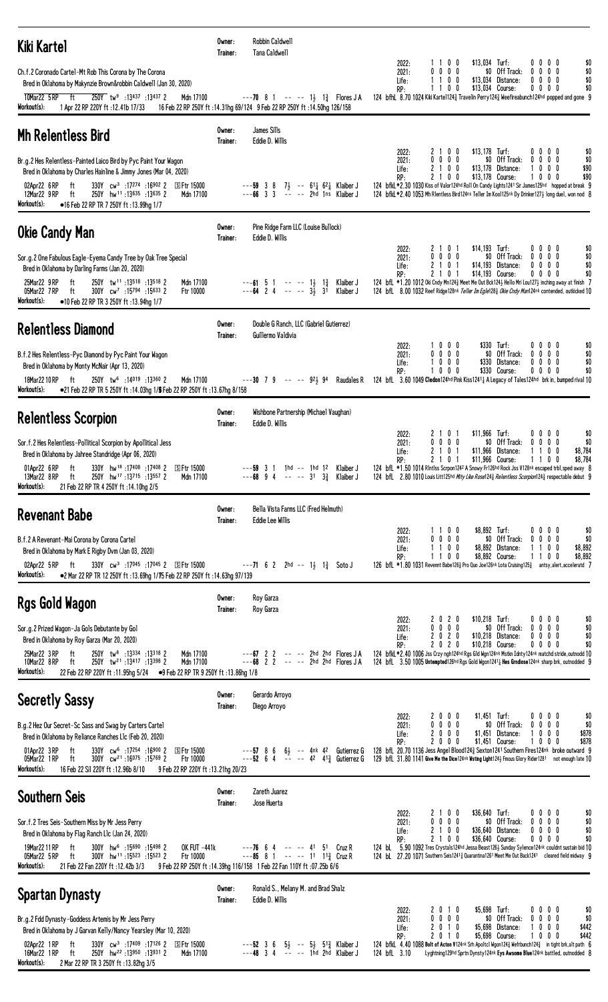| Kiki Kartel                                                                                                                                                                                                                                                                                                                                                            | Owner:<br>Trainer: | Robbin Caldwell<br>Tana Caldwell                                                                                                                        |                                                                                                                                                                                                                                                                                                                                                                                                                                                                         |
|------------------------------------------------------------------------------------------------------------------------------------------------------------------------------------------------------------------------------------------------------------------------------------------------------------------------------------------------------------------------|--------------------|---------------------------------------------------------------------------------------------------------------------------------------------------------|-------------------------------------------------------------------------------------------------------------------------------------------------------------------------------------------------------------------------------------------------------------------------------------------------------------------------------------------------------------------------------------------------------------------------------------------------------------------------|
| Ch.f.2 Coronado Cartel-Mt Rob This Corona by The Corona<br>Bred in Oklahoma by Makynzie Brown&robbin Caldwell (Jan 30, 2020)<br>$-t$<br>250Y tw <sup>9</sup> :13437 :13437 2<br>Mdn 17100<br>10Mar22 5 RP<br>Workout(s):<br>1 Apr 22 RP 220Y ft : 12.41b 17/33                                                                                                         |                    | $--70$ 8 1 $--1\frac{1}{2}$ 1 $\frac{3}{4}$ Flores JA<br>16 Feb 22 RP 250Y ft: 14.31hg 69/124 9 Feb 22 RP 250Y ft: 14.50hg 126/158                      | $$13.034$ Turf:<br>1100<br>$0\ 0\ 0\ 0$<br>\$0<br>2022:<br>$0\ 0\ 0\ 0$<br>\$0 Off Track:<br>$0\ 0\ 0\ 0$<br>2021:<br>\$0<br>1100<br>$$13.034$ Distance:<br>Life:<br>0000<br>\$0<br>1100<br>\$13,034 Course:<br>$0\,0\,0\,0$<br>\$0<br>RP:<br>124 bfhl 8.70 1024 Kiki Karte11243 Travelin Perry1243 Weefireabunch124hd popped and gone 9                                                                                                                                |
| <b>Mh Relentless Bird</b>                                                                                                                                                                                                                                                                                                                                              | Owner:<br>Trainer: | James Sills<br>Eddie D. Willis                                                                                                                          |                                                                                                                                                                                                                                                                                                                                                                                                                                                                         |
| Br.g.2 Hes Relentless-Painted Laico Bird by Pyc Paint Your Wagon<br>Bred in Oklahoma by Charles Hainline & Jimmy Jones (Mar 04, 2020)<br>330Y cw <sup>3</sup> :17274 :16902 2<br>ft<br>⑤ Ftr 15000<br>02Apr22 6RP<br>12Mar22 9 RP<br>250Y hw <sup>11</sup> :13635 :13635 2<br>Mdn 17100<br>ft<br>Workout(s):<br>•16 Feb 22 RP TR 7 250Y ft :13.99hg 1/7                |                    | ---59 3 8 $7\frac{1}{2}$ -- $61\frac{1}{4}$ $62\frac{1}{4}$ Klaiber J<br>$---66$ 3 3 $---$ 2hd 1ns Klaiber J                                            | $$13,178$ Turf:<br>0000<br>2022:<br>2 1 0 0<br>\$0<br>0 0 0 0<br>\$0 Off Track:<br>$0\quad 0\quad 0\quad 0$<br>\$0<br>2021:<br>\$13,178 Distance:<br>2100<br>1000<br>\$90<br>Life:<br>2100<br>\$13,178 Course:<br>1000<br>\$90<br>RP:<br>124 bfkL *2.30 1030 Kiss of Valor124hd Roll On Candy Lights1241 Sir James125hd hopped at break 9<br>124 bfkL *2,40 1053 Mh R1entless Bird124ns Teller Im Kool125nk Dy Drinker1273 long duel, won nod 8                         |
| <b>Okie Candy Man</b>                                                                                                                                                                                                                                                                                                                                                  | Owner:<br>Trainer: | Pine Ridge Farm LLC (Louise Bullock)<br>Eddie D. Willis                                                                                                 |                                                                                                                                                                                                                                                                                                                                                                                                                                                                         |
| Sor.g.2 One Fabulous Eagle-Eyema Candy Tree by Oak Tree Special<br>Bred in Oklahoma by Darling Farms (Jan 20, 2020)<br>250Y tw <sup>11</sup> :13518 :13518 2<br>ft<br>Mdn 17100<br>25Mar22 9 RP<br>05Mar22 7RP<br>$300Y$ cw <sup>7</sup> :15 <sup>794</sup> :15 <sup>633</sup> 2<br>Ftr 10000<br>ft<br>Workout(s):<br>•10 Feb 22 RP TR 3 250Y ft :13.94hg 1/7          |                    | $---61$ 5 1 -- -- $1\frac{1}{2}$ $1\frac{3}{4}$<br>---64 2 4 -- -- $3\frac{1}{2}$ 3 <sup>1</sup><br>Klaiber J<br>Klaiber J                              | \$14,193 Turf:<br>2101<br>2022:<br>$0\,0\,0\,0$<br>\$0<br>0 0 0 0<br>\$0 Off Track:<br>$0\ 0\ 0\ 0$<br>\$0<br>2021:<br>2101<br>$$14,193$ Distance:<br>0000<br>\$0<br>Life:<br>2 1 0 1<br>\$14,193 Course:<br>0000<br>\$0<br>RP:<br>124 bfl *1.20 1012 Oki Cndy Mn1243 Meet Me Out Bck1243 Hello Mri Lou1273 inching away at finish 7<br>124 bfl. 8.00 1032 Reef Ridge128nk Teller Im Egle1283 Okie Cndy Man124nk contended, outkicked 10                                |
| <b>Relentless Diamond</b>                                                                                                                                                                                                                                                                                                                                              | Owner:<br>Trainer: | Double G Ranch, LLC (Gabriel Gutierrez)<br>Guillermo Valdivia                                                                                           |                                                                                                                                                                                                                                                                                                                                                                                                                                                                         |
| B.f.2 Hes Relentless-Pyc Diamond by Pyc Paint Your Wagon<br>Bred in Oklahoma by Monty McNair (Apr 13, 2020)<br>250Y tw <sup>6</sup> :14019 :13360 2<br>Mdn 17100<br>18Mar2210RP ft<br>Workout(s):<br>●21 Feb 22 RP TR 5 250Y ft :14.03hg 1/5 Feb 22 RP 250Y ft :13.67hg 8/158                                                                                          |                    |                                                                                                                                                         | \$330 Turf:<br>1000<br>0000<br>2022:<br>\$0<br>$0\ 0\ 0\ 0$<br>\$0 Off Track:<br>$0\,0\,0\,0$<br>2021:<br>\$0<br>1000<br>\$330 Distance:<br>$0\ 0\ 0\ 0$<br>\$0<br>Life:<br>1000<br>\$330 Course:<br>$0\ 0\ 0\ 0$<br>\$0<br>RP:<br>$---30$ 7 9 $---9$ 92 94 Raudales R 124 bfl 3.60 1049 Cledon124hd Pink Kiss1241 a Legacy of Tales124hd brk in, bumped rival 10                                                                                                       |
| <b>Relentless Scorpion</b>                                                                                                                                                                                                                                                                                                                                             | Owner:<br>Trainer: | Wishbone Partnership (Michael Vaughan)<br>Eddie D. Willis                                                                                               |                                                                                                                                                                                                                                                                                                                                                                                                                                                                         |
| Sor.f.2 Hes Relentless-Pollitical Scorpion by Apollitical Jess<br>Bred in Oklahoma by Jahree Standridge (Apr 06, 2020)<br>330Y hw <sup>18</sup> :17408:17408 2 SFtr 15000<br>01Apr22 6 RP<br>ft<br>250Y hw <sup>17</sup> :13715:135572<br>13Mar22 8 RP ft<br>Mdn 17100<br>Workout(s):<br>21 Feb 22 RP TR 4 250Y ft : 14.10hg 2/5                                       |                    | $---59$ 3 1 1 hd $---$ 1 hd 12 Klaiber J<br>$---68$ 9 4 $---$ 31 33 Klaiber J                                                                           | \$11,966 Turf:<br>2022:<br>2101<br>$0\ 0\ 0\ 0$<br>\$0<br>$0\ 0\ 0\ 0$<br>\$0 Off Track:<br>$0\,0\,0\,0$<br>2021:<br>\$0<br>2 1 0 1<br>\$11,966 Distance:<br>$0\quad 0$<br>\$8,784<br>Life:<br>$1 \; 1$<br>2 1 0 1<br>\$11,966 Course:<br>1100<br>\$8,784<br>RP:<br>124 bfl *1.50 1014 Rintlss Scrpon1242 A Snowy Fr126hd Rock Jss V128nk escaped trbl, sped away 8<br>124 bfl 2.80 1010 Louis Litt125hd Mity Like Rose1243 Relentless Scorpion1243 respectable debut 9 |
| <b>Revenant Babe</b>                                                                                                                                                                                                                                                                                                                                                   | Owner:<br>Trainer: | Bella Vista Farms LLC (Fred Helmuth)<br>Eddie Lee Willis                                                                                                |                                                                                                                                                                                                                                                                                                                                                                                                                                                                         |
| B.f.2 A Revenant-Mai Corona by Corona Cartel<br>Bred in Oklahoma by Mark E Rigby Dvm (Jan 03, 2020)<br>330Y cw <sup>3</sup> :17045 :17045 2 SFtr 15000<br>02Apr22 5RP ft<br>Workout(s):<br>● 2 Mar 22 RP TR 12 250Y ft : 13.69hg 1/75 Feb 22 RP 250Y ft : 14.63hg 97/139                                                                                               |                    | $---71$ 6 2 2hd $---13$ $12$ Soto J                                                                                                                     | \$8,892 Turf:<br>1100<br>$0\ 0\ 0\ 0$<br>2022:<br>\$0<br>0000<br>\$0 Off Track:<br>2021:<br>0000<br>\$0<br>1 1 0 0<br>\$8,892 Distance:<br>\$8,892<br>100<br>Life:<br>1100<br>\$8,892<br>RP:<br>\$8,892 Course:<br>110<br>0<br>126 bfl *1.80 1031 Revennt Babe126} Pro Quo Joe126nk Lota Cruising125} antsy, alert, acceleratd 7                                                                                                                                        |
| Rgs Gold Wagon                                                                                                                                                                                                                                                                                                                                                         | Owner:<br>Trainer: | Roy Garza<br>Roy Garza                                                                                                                                  |                                                                                                                                                                                                                                                                                                                                                                                                                                                                         |
| Sor.g.2 Prized Wagon-Ja Gols Debutante by Gol<br>Bred in Oklahoma by Roy Garza (Mar 20, 2020)<br>250Y tw <sup>8</sup> :13334 :13318 2<br>25Mar22 3 RP<br>Mdn 17100<br>ft<br>250Y tw <sup>21</sup> :13417:13398 2<br>10Mar22 8 RP<br>Mdn 17100<br>ft<br>Workout(s):<br>22 Feb 22 RP 220Y ft: 11.95hg 5/24 • 9 Feb 22 RP TR 9 250Y ft: 13.86hg 1/8                       |                    | $---67$ 2 2 $---$ 2hd 2hd Flores JA<br>$- -68$ $\bar{2}$ $\bar{2}$ $- - -2h$ and $2hd$ Flores JA                                                        | \$10,218 Turf:<br>\$0<br>2022:<br>2020<br>$0\,0\,0\,0$<br>$0\ 0\ 0\ 0$<br>\$0 Off Track:<br>$0\,0\,0\,0$<br>2021:<br>\$0<br>2020<br>$$10,218$ Distance:<br>0000<br>\$0<br>Life:<br>2020<br>\$0<br>\$10,218 Course:<br>0000<br>RP:<br>124 bfkl *2.40 1006 Jss Crzy ngh124hd Rgs Gld Wgn124nk Mstkn Idnty124nk matchd stride, outnodd 10<br>124 bfl. 3.50 1005 Untempted126hd Rgs Gold Wgon12411 Hes Grndiose124nk sharp brk, outnodded 9                                 |
| <b>Secretly Sassy</b>                                                                                                                                                                                                                                                                                                                                                  | Owner:<br>Trainer: | Gerardo Arroyo<br>Diego Arroyo                                                                                                                          |                                                                                                                                                                                                                                                                                                                                                                                                                                                                         |
| B.g.2 Hez Our Secret-Sc Sass and Swag by Carters Cartel<br>Bred in Oklahoma by Reliance Ranches L1c (Feb 20, 2020)<br>330Y cw <sup>6</sup> :17254 :16900 2<br>S Ftr 15000<br>01Apr22 3 RP<br>ft<br>300Y cw <sup>21</sup> :16075 :15769 2<br>Ftr 10000<br>05Mar22 1 RP<br>ft<br>Workout(s):<br>16 Feb 22 Sil 220Y ft: 12.96b 8/10<br>9 Feb 22 RP 220Y ft: 13.21hg 20/23 |                    | $---57$ 8 6 $6\frac{1}{2}$ $---$ 4nk 42 Gutierrez G<br>$---52$ 6 4 $--- 42$ 41 $\frac{3}{4}$ Gutierrez G                                                | $$1,451$ Turf:<br>2022:<br>2000<br>\$0<br>0000<br>0000<br>\$0 Off Track:<br>2021:<br>0000<br>\$0<br>2000<br>\$1,451 Distance:<br>1000<br>\$878<br>Life:<br>2000<br>$$1,451$ Course:<br>\$878<br>1000<br>RP:<br>128 bfl. 20.70 1136 Jess Angel Blood1243 Sexton1241 Southern Fires124nk broke outward 9<br>129 bfl. 31.80 1141 Give Me the Dice124nk Wsting Light1243 Fmous Glory Rider1281 not enough late 10                                                           |
| <b>Southern Seis</b>                                                                                                                                                                                                                                                                                                                                                   | Owner:<br>Trainer: | Zareth Juarez<br>Jose Huerta                                                                                                                            |                                                                                                                                                                                                                                                                                                                                                                                                                                                                         |
| Sor.f.2 Tres Seis-Southern Miss by Mr Jess Perry<br>Bred in Oklahoma by Flag Ranch Llc (Jan 24, 2020)<br>ft<br>300Y hw <sup>6</sup> :15690 :15498 2<br>OK FUT -441k<br>19Mar 22 11 RP<br>300Y hw <sup>11</sup> :15523 :15523 2<br>Ftr 10000<br>05Mar22 5 RP<br>ft<br>Workout(s):<br>21 Feb 22 Fan 220Y ft : 12.42b 3/3                                                 |                    | $---76$ 6 4 -- -- 41 51 Cruz R<br>$---85$ 8 1 -- -- 11 11 $\frac{3}{4}$ Cruz R<br>9 Feb 22 RP 250Y ft: 14.39hg 116/158 1 Feb 22 Fan 110Y ft: 07.25b 6/6 | \$36,640 Turf:<br>2100<br>0000<br>2022:<br>\$0<br>0 0 0 0<br>\$0 Off Track:<br>2021:<br>0000<br>\$0<br>\$36,640 Distance:<br>2100<br>$0\,0\,0\,0$<br>\$0<br>Life:<br>\$36,640 Course:<br>$0\ 0\ 0\ 0$<br>\$0<br>2100<br>RP:<br>124 bl 5.90 1092 Tres Crystals124hd Jessa Beast126} Sunday Sylence124nk couldnt sustain bid 10<br>124 bl 27.20 1071 Southern Seis12413 Quarantina1261 Meet Me Out Back1241 cleared field midway 9                                        |
| <b>Spartan Dynasty</b>                                                                                                                                                                                                                                                                                                                                                 | Owner:<br>Trainer: | Ronald S., Melany M. and Brad Shalz<br>Eddie D. Willis                                                                                                  |                                                                                                                                                                                                                                                                                                                                                                                                                                                                         |
| Br.g.2 Fdd Dynasty-Goddess Artemis by Mr Jess Perry<br>Bred in Oklahoma by J Garvan Kelly/Nancy Yearsley (Mar 10, 2020)<br>330Y cw <sup>3</sup> :17409:17126 2 SFtr 15000<br>02Apr22 1RP<br>ft<br>250Y hw <sup>22</sup> :13950:139312<br>16Mar22 1 RP<br>ft<br>Mdn 17100<br>Workout(s):<br>2 Mar 22 RP TR 3 250Y ft : 13.82hg 3/5                                      |                    | $---52$ 3 6 $5\frac{1}{2}$ $---5\frac{1}{2}$ 5 <sup>13</sup> / <sub>4</sub> Klaiber J<br>$---48$ 3 4 $---$ 1hd 2hd Klaiber J                            | \$5,698 Turf:<br>2010<br>0000<br>2022:<br>\$0<br>$0\ 0\ 0\ 0$<br>\$0 Off Track:<br>$0\quad 0\quad 0\quad 0$<br>2021:<br>\$0<br>\$5,698 Distance:<br>2010<br>\$442<br>1000<br>Life:<br>\$5,698 Course:<br>\$442<br>2010<br>1000<br>RP:<br>124 bfkL 4.40 1088 Bolt of Acton V124nk Srh Apoltcl Wgon124 $\frac{3}{4}$ Wefrbunch124 $\frac{3}{4}$ in tight brk, alt path 6<br>124 bfL 3.10<br>Lyghtning129hd Sprtn Dynsty124nk Eys Awsome Blue124nk battled, outnodded 8    |